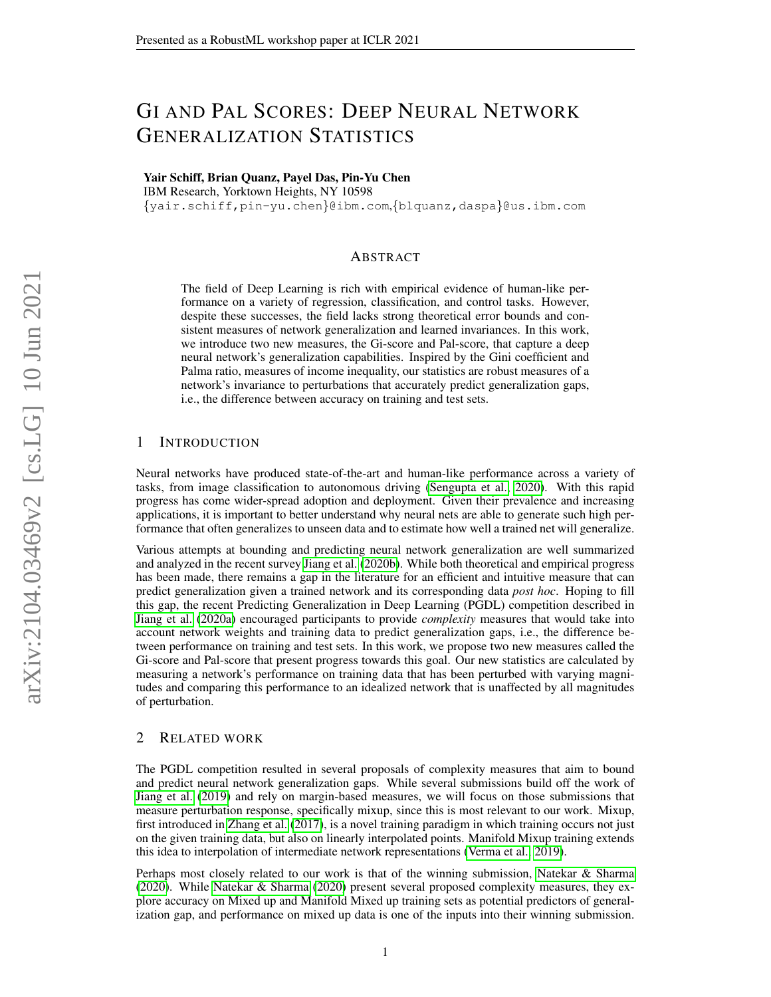# GI AND PAL SCORES: DEEP NEURAL NETWORK GENERALIZATION STATISTICS

Yair Schiff, Brian Quanz, Payel Das, Pin-Yu Chen

IBM Research, Yorktown Heights, NY 10598

{yair.schiff,pin-yu.chen}@ibm.com,{blquanz,daspa}@us.ibm.com

# ABSTRACT

The field of Deep Learning is rich with empirical evidence of human-like performance on a variety of regression, classification, and control tasks. However, despite these successes, the field lacks strong theoretical error bounds and consistent measures of network generalization and learned invariances. In this work, we introduce two new measures, the Gi-score and Pal-score, that capture a deep neural network's generalization capabilities. Inspired by the Gini coefficient and Palma ratio, measures of income inequality, our statistics are robust measures of a network's invariance to perturbations that accurately predict generalization gaps, i.e., the difference between accuracy on training and test sets.

## 1 INTRODUCTION

Neural networks have produced state-of-the-art and human-like performance across a variety of tasks, from image classification to autonomous driving [\(Sengupta et al., 2020\)](#page-4-0). With this rapid progress has come wider-spread adoption and deployment. Given their prevalence and increasing applications, it is important to better understand why neural nets are able to generate such high performance that often generalizes to unseen data and to estimate how well a trained net will generalize.

Various attempts at bounding and predicting neural network generalization are well summarized and analyzed in the recent survey [Jiang et al.](#page-4-1) [\(2020b\)](#page-4-1). While both theoretical and empirical progress has been made, there remains a gap in the literature for an efficient and intuitive measure that can predict generalization given a trained network and its corresponding data *post hoc*. Hoping to fill this gap, the recent Predicting Generalization in Deep Learning (PGDL) competition described in [Jiang et al.](#page-4-2) [\(2020a\)](#page-4-2) encouraged participants to provide *complexity* measures that would take into account network weights and training data to predict generalization gaps, i.e., the difference between performance on training and test sets. In this work, we propose two new measures called the Gi-score and Pal-score that present progress towards this goal. Our new statistics are calculated by measuring a network's performance on training data that has been perturbed with varying magnitudes and comparing this performance to an idealized network that is unaffected by all magnitudes of perturbation.

#### 2 RELATED WORK

The PGDL competition resulted in several proposals of complexity measures that aim to bound and predict neural network generalization gaps. While several submissions build off the work of [Jiang et al.](#page-4-3) [\(2019\)](#page-4-3) and rely on margin-based measures, we will focus on those submissions that measure perturbation response, specifically mixup, since this is most relevant to our work. Mixup, first introduced in [Zhang et al.](#page-5-0) [\(2017\)](#page-5-0), is a novel training paradigm in which training occurs not just on the given training data, but also on linearly interpolated points. Manifold Mixup training extends this idea to interpolation of intermediate network representations [\(Verma et al., 2019\)](#page-5-1).

Perhaps most closely related to our work is that of the winning submission, [Natekar & Sharma](#page-4-4) [\(2020\)](#page-4-4). While [Natekar & Sharma](#page-4-4) [\(2020\)](#page-4-4) present several proposed complexity measures, they explore accuracy on Mixed up and Manifold Mixed up training sets as potential predictors of generalization gap, and performance on mixed up data is one of the inputs into their winning submission.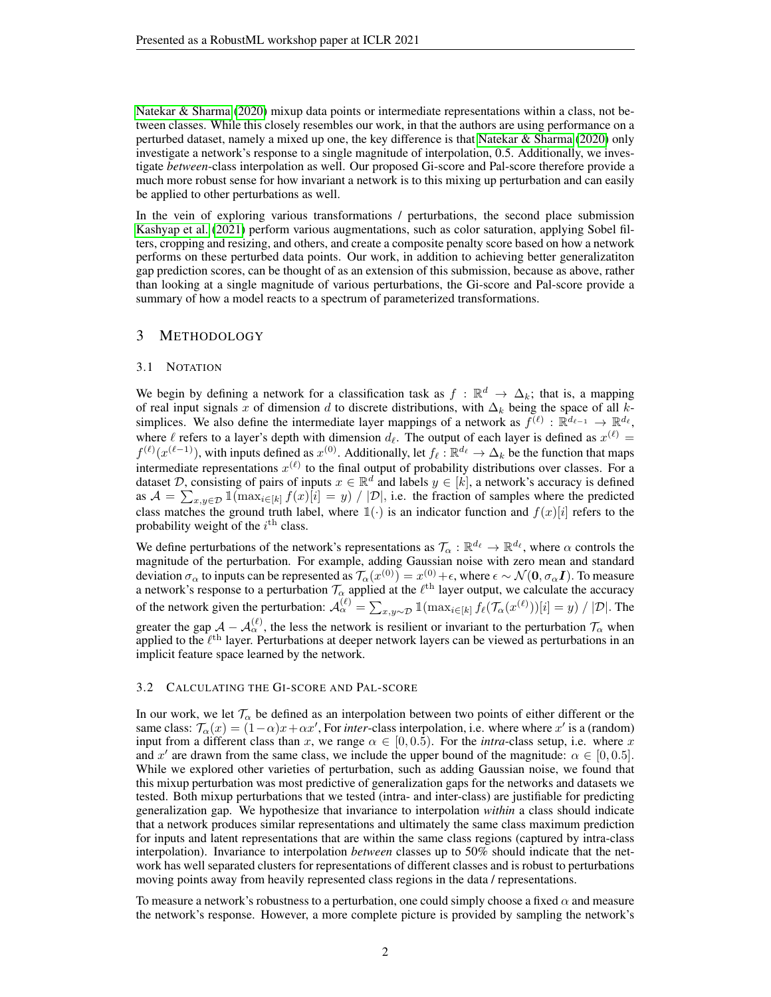[Natekar & Sharma](#page-4-4) [\(2020\)](#page-4-4) mixup data points or intermediate representations within a class, not between classes. While this closely resembles our work, in that the authors are using performance on a perturbed dataset, namely a mixed up one, the key difference is that [Natekar & Sharma](#page-4-4) [\(2020\)](#page-4-4) only investigate a network's response to a single magnitude of interpolation, 0.5. Additionally, we investigate *between*-class interpolation as well. Our proposed Gi-score and Pal-score therefore provide a much more robust sense for how invariant a network is to this mixing up perturbation and can easily be applied to other perturbations as well.

In the vein of exploring various transformations / perturbations, the second place submission [Kashyap et al.](#page-4-5) [\(2021\)](#page-4-5) perform various augmentations, such as color saturation, applying Sobel filters, cropping and resizing, and others, and create a composite penalty score based on how a network performs on these perturbed data points. Our work, in addition to achieving better generalizatiton gap prediction scores, can be thought of as an extension of this submission, because as above, rather than looking at a single magnitude of various perturbations, the Gi-score and Pal-score provide a summary of how a model reacts to a spectrum of parameterized transformations.

## <span id="page-1-0"></span>3 METHODOLOGY

#### 3.1 NOTATION

We begin by defining a network for a classification task as  $f : \mathbb{R}^d \to \Delta_k$ ; that is, a mapping of real input signals x of dimension d to discrete distributions, with  $\Delta_k$  being the space of all ksimplices. We also define the intermediate layer mappings of a network as  $f^{(\ell)} : \mathbb{R}^{d_{\ell-1}} \to \mathbb{R}^{d_{\ell}}$ , where  $\ell$  refers to a layer's depth with dimension  $d_{\ell}$ . The output of each layer is defined as  $x^{(\ell)}$  =  $f^{(\ell)}(x^{(\ell-1)})$ , with inputs defined as  $x^{(0)}$ . Additionally, let  $f_\ell : \mathbb{R}^{d_\ell} \to \Delta_k$  be the function that maps intermediate representations  $x^{(\ell)}$  to the final output of probability distributions over classes. For a dataset D, consisting of pairs of inputs  $x \in \mathbb{R}^d$  and labels  $y \in [k]$ , a network's accuracy is defined as  $A = \sum_{x,y \in \mathcal{D}} \mathbb{I}(\max_{i \in [k]} f(x)[i]) = y / |\mathcal{D}|$ , i.e. the fraction of samples where the predicted class matches the ground truth label, where  $\mathbb{1}(\cdot)$  is an indicator function and  $f(x)[i]$  refers to the probability weight of the  $i^{\text{th}}$  class.

We define perturbations of the network's representations as  $\mathcal{T}_{\alpha}: \mathbb{R}^{d_{\ell}} \to \mathbb{R}^{d_{\ell}}$ , where  $\alpha$  controls the magnitude of the perturbation. For example, adding Gaussian noise with zero mean and standard deviation  $\sigma_\alpha$  to inputs can be represented as  $\mathcal{T}_\alpha(x^{(0)}) = x^{(0)} + \epsilon,$  where  $\epsilon \sim \mathcal{N}(\mathbf{0},\sigma_\alpha \boldsymbol{I}).$  To measure a network's response to a perturbation  $\mathcal{T}_{\alpha}$  applied at the  $\ell^{\text{th}}$  layer output, we calculate the accuracy of the network given the perturbation:  $\mathcal{A}_{\alpha}^{(\ell)} = \sum_{x,y\sim\mathcal{D}} \mathbb{1}(\max_{i\in[k]} f_{\ell}(\mathcal{T}_{\alpha}(x^{(\ell)}))[i] = y) / |\mathcal{D}|$ . The greater the gap  $\mathcal{A} - \mathcal{A}^{(\ell)}_{\alpha}$ , the less the network is resilient or invariant to the perturbation  $\mathcal{T}_{\alpha}$  when applied to the  $\ell^{\text{th}}$  layer. Perturbations at deeper network layers can be viewed as perturbations in an implicit feature space learned by the network.

#### 3.2 CALCULATING THE GI-SCORE AND PAL-SCORE

In our work, we let  $\mathcal{T}_{\alpha}$  be defined as an interpolation between two points of either different or the same class:  $\mathcal{T}_{\alpha}(x) = (1 - \alpha)x + \alpha x'$ , For *inter*-class interpolation, i.e. where where x' is a (random) input from a different class than x, we range  $\alpha \in [0, 0.5)$ . For the *intra*-class setup, i.e. where x and x' are drawn from the same class, we include the upper bound of the magnitude:  $\alpha \in [0, 0.5]$ . While we explored other varieties of perturbation, such as adding Gaussian noise, we found that this mixup perturbation was most predictive of generalization gaps for the networks and datasets we tested. Both mixup perturbations that we tested (intra- and inter-class) are justifiable for predicting generalization gap. We hypothesize that invariance to interpolation *within* a class should indicate that a network produces similar representations and ultimately the same class maximum prediction for inputs and latent representations that are within the same class regions (captured by intra-class interpolation). Invariance to interpolation *between* classes up to 50% should indicate that the network has well separated clusters for representations of different classes and is robust to perturbations moving points away from heavily represented class regions in the data / representations.

To measure a network's robustness to a perturbation, one could simply choose a fixed  $\alpha$  and measure the network's response. However, a more complete picture is provided by sampling the network's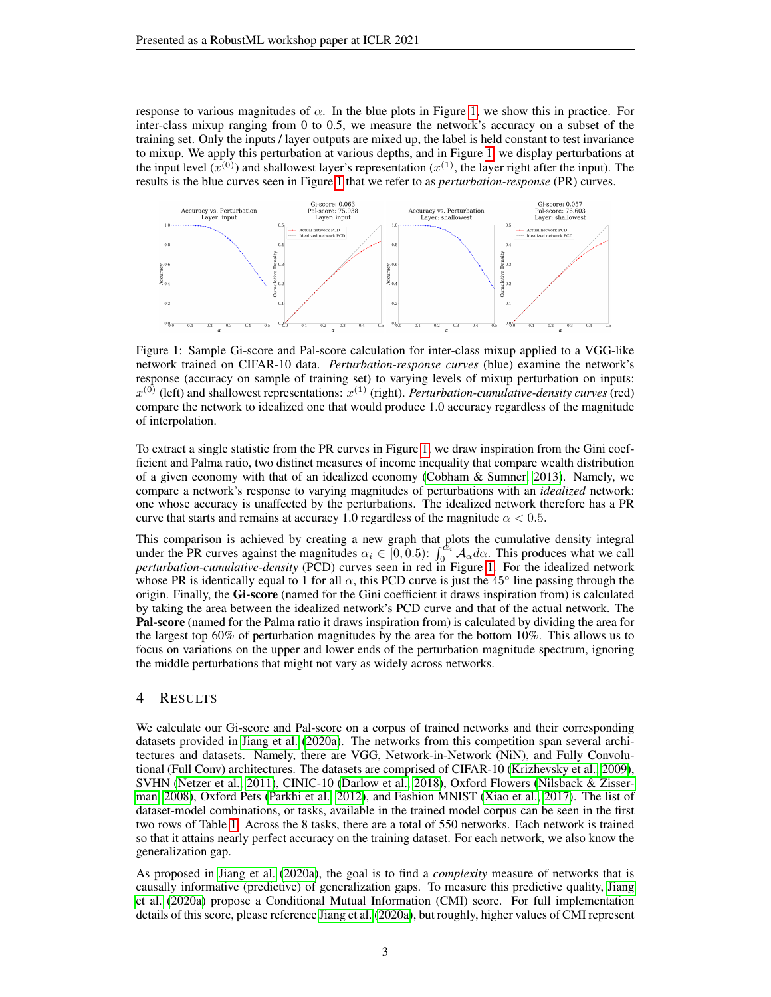response to various magnitudes of  $\alpha$ . In the blue plots in Figure [1,](#page-2-0) we show this in practice. For inter-class mixup ranging from 0 to 0.5, we measure the network's accuracy on a subset of the training set. Only the inputs / layer outputs are mixed up, the label is held constant to test invariance to mixup. We apply this perturbation at various depths, and in Figure [1,](#page-2-0) we display perturbations at the input level  $(x^{(0)})$  and shallowest layer's representation  $(x^{(1)}$ , the layer right after the input). The results is the blue curves seen in Figure [1](#page-2-0) that we refer to as *perturbation-response* (PR) curves.

<span id="page-2-0"></span>

Figure 1: Sample Gi-score and Pal-score calculation for inter-class mixup applied to a VGG-like network trained on CIFAR-10 data. *Perturbation-response curves* (blue) examine the network's response (accuracy on sample of training set) to varying levels of mixup perturbation on inputs:  $x^{(0)}$  (left) and shallowest representations:  $x^{(1)}$  (right). *Perturbation-cumulative-density curves* (red) compare the network to idealized one that would produce 1.0 accuracy regardless of the magnitude of interpolation.

To extract a single statistic from the PR curves in Figure [1,](#page-2-0) we draw inspiration from the Gini coefficient and Palma ratio, two distinct measures of income inequality that compare wealth distribution of a given economy with that of an idealized economy [\(Cobham & Sumner, 2013\)](#page-4-6). Namely, we compare a network's response to varying magnitudes of perturbations with an *idealized* network: one whose accuracy is unaffected by the perturbations. The idealized network therefore has a PR curve that starts and remains at accuracy 1.0 regardless of the magnitude  $\alpha < 0.5$ .

This comparison is achieved by creating a new graph that plots the cumulative density integral under the PR curves against the magnitudes  $\alpha_i \in [0, 0.5)$ :  $\int_0^{\alpha_i} A_{\alpha} d\alpha$ . This produces what we call *perturbation-cumulative-density* (PCD) curves seen in red in Figure [1.](#page-2-0) For the idealized network whose PR is identically equal to 1 for all  $\alpha$ , this PCD curve is just the 45 $\degree$  line passing through the origin. Finally, the Gi-score (named for the Gini coefficient it draws inspiration from) is calculated by taking the area between the idealized network's PCD curve and that of the actual network. The Pal-score (named for the Palma ratio it draws inspiration from) is calculated by dividing the area for the largest top 60% of perturbation magnitudes by the area for the bottom 10%. This allows us to focus on variations on the upper and lower ends of the perturbation magnitude spectrum, ignoring the middle perturbations that might not vary as widely across networks.

### 4 RESULTS

We calculate our Gi-score and Pal-score on a corpus of trained networks and their corresponding datasets provided in [Jiang et al.](#page-4-2) [\(2020a\)](#page-4-2). The networks from this competition span several architectures and datasets. Namely, there are VGG, Network-in-Network (NiN), and Fully Convolutional (Full Conv) architectures. The datasets are comprised of CIFAR-10 [\(Krizhevsky et al., 2009\)](#page-4-7), SVHN [\(Netzer et al., 2011\)](#page-4-8), CINIC-10 [\(Darlow et al., 2018\)](#page-4-9), Oxford Flowers [\(Nilsback & Zisser](#page-4-10)[man, 2008\)](#page-4-10), Oxford Pets [\(Parkhi et al., 2012\)](#page-4-11), and Fashion MNIST [\(Xiao et al., 2017\)](#page-5-2). The list of dataset-model combinations, or tasks, available in the trained model corpus can be seen in the first two rows of Table [1.](#page-3-0) Across the 8 tasks, there are a total of 550 networks. Each network is trained so that it attains nearly perfect accuracy on the training dataset. For each network, we also know the generalization gap.

As proposed in [Jiang et al.](#page-4-2) [\(2020a\)](#page-4-2), the goal is to find a *complexity* measure of networks that is causally informative (predictive) of generalization gaps. To measure this predictive quality, [Jiang](#page-4-2) [et al.](#page-4-2) [\(2020a\)](#page-4-2) propose a Conditional Mutual Information (CMI) score. For full implementation details of this score, please reference [Jiang et al.](#page-4-2) [\(2020a\)](#page-4-2), but roughly, higher values of CMI represent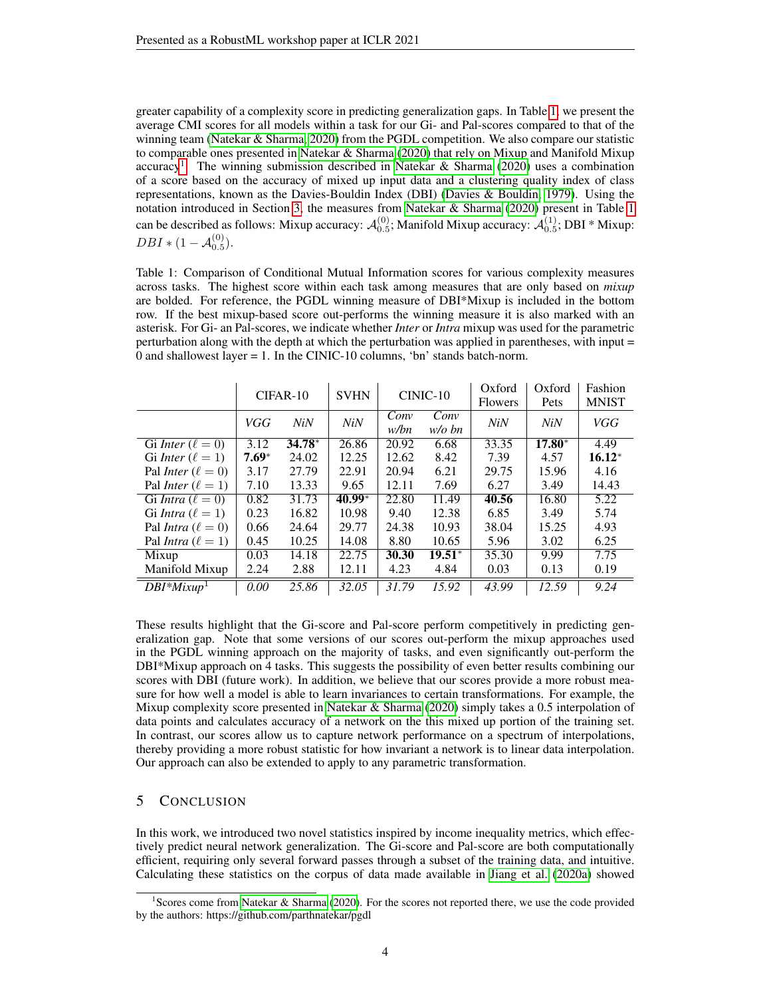greater capability of a complexity score in predicting generalization gaps. In Table [1,](#page-3-0) we present the average CMI scores for all models within a task for our Gi- and Pal-scores compared to that of the winning team [\(Natekar & Sharma, 2020\)](#page-4-4) from the PGDL competition. We also compare our statistic to comparable ones presented in [Natekar & Sharma](#page-4-4) [\(2020\)](#page-4-4) that rely on Mixup and Manifold Mixup accuracy<sup>[1](#page-3-1)</sup>. The winning submission described in [Natekar & Sharma](#page-4-4) [\(2020\)](#page-4-4) uses a combination of a score based on the accuracy of mixed up input data and a clustering quality index of class representations, known as the Davies-Bouldin Index (DBI) [\(Davies & Bouldin, 1979\)](#page-4-12). Using the notation introduced in Section [3,](#page-1-0) the measures from [Natekar & Sharma](#page-4-4) [\(2020\)](#page-4-4) present in Table [1](#page-3-0) can be described as follows: Mixup accuracy:  $\mathcal{A}_{0.5}^{(0)}$ ; Manifold Mixup accuracy:  $\mathcal{A}_{0.5}^{(1)}$ ; DBI \* Mixup:  $DBI * (1 - A_{0.5}^{(0)}).$ 

<span id="page-3-0"></span>Table 1: Comparison of Conditional Mutual Information scores for various complexity measures across tasks. The highest score within each task among measures that are only based on *mixup* are bolded. For reference, the PGDL winning measure of DBI\*Mixup is included in the bottom row. If the best mixup-based score out-performs the winning measure it is also marked with an asterisk. For Gi- an Pal-scores, we indicate whether *Inter* or *Intra* mixup was used for the parametric perturbation along with the depth at which the perturbation was applied in parentheses, with input = 0 and shallowest layer = 1. In the CINIC-10 columns, 'bn' stands batch-norm.

|                              | $CIFAR-10$ |          | <b>SVHN</b> | $CINIC-10$   |                  | Oxford<br><b>Flowers</b> | Oxford<br>Pets  | Fashion<br><b>MNIST</b> |
|------------------------------|------------|----------|-------------|--------------|------------------|--------------------------|-----------------|-------------------------|
|                              | VGG        | NiN      | NiN         | Conv<br>w/bn | Conv<br>$w/o$ bn | Ni <sub>N</sub>          | Ni <sub>N</sub> | VGG                     |
| Gi Inter $(\ell = 0)$        | 3.12       | $34.78*$ | 26.86       | 20.92        | 6.68             | 33.35                    | $17.80*$        | 4.49                    |
| Gi <i>Inter</i> $(\ell = 1)$ | $7.69*$    | 24.02    | 12.25       | 12.62        | 8.42             | 7.39                     | 4.57            | $16.12*$                |
| Pal Inter $(\ell = 0)$       | 3.17       | 27.79    | 22.91       | 20.94        | 6.21             | 29.75                    | 15.96           | 4.16                    |
| Pal Inter $(\ell = 1)$       | 7.10       | 13.33    | 9.65        | 12.11        | 7.69             | 6.27                     | 3.49            | 14.43                   |
| Gi Intra $(\ell = 0)$        | 0.82       | 31.73    | $40.99*$    | 22.80        | 11.49            | 40.56                    | 16.80           | 5.22                    |
| Gi Intra $(\ell = 1)$        | 0.23       | 16.82    | 10.98       | 9.40         | 12.38            | 6.85                     | 3.49            | 5.74                    |
| Pal Intra $(\ell = 0)$       | 0.66       | 24.64    | 29.77       | 24.38        | 10.93            | 38.04                    | 15.25           | 4.93                    |
| Pal Intra $(\ell = 1)$       | 0.45       | 10.25    | 14.08       | 8.80         | 10.65            | 5.96                     | 3.02            | 6.25                    |
| Mixup                        | 0.03       | 14.18    | 22.75       | 30.30        | $19.51*$         | 35.30                    | 9.99            | 7.75                    |
| Manifold Mixup               | 2.24       | 2.88     | 12.11       | 4.23         | 4.84             | 0.03                     | 0.13            | 0.19                    |
| $DBI^*Mixup^1$               | 0.00       | 25.86    | 32.05       | 31.79        | 15.92            | 43.99                    | 12.59           | 9.24                    |

These results highlight that the Gi-score and Pal-score perform competitively in predicting generalization gap. Note that some versions of our scores out-perform the mixup approaches used in the PGDL winning approach on the majority of tasks, and even significantly out-perform the DBI\*Mixup approach on 4 tasks. This suggests the possibility of even better results combining our scores with DBI (future work). In addition, we believe that our scores provide a more robust measure for how well a model is able to learn invariances to certain transformations. For example, the Mixup complexity score presented in [Natekar & Sharma](#page-4-4) [\(2020\)](#page-4-4) simply takes a 0.5 interpolation of data points and calculates accuracy of a network on the this mixed up portion of the training set. In contrast, our scores allow us to capture network performance on a spectrum of interpolations, thereby providing a more robust statistic for how invariant a network is to linear data interpolation. Our approach can also be extended to apply to any parametric transformation.

## 5 CONCLUSION

In this work, we introduced two novel statistics inspired by income inequality metrics, which effectively predict neural network generalization. The Gi-score and Pal-score are both computationally efficient, requiring only several forward passes through a subset of the training data, and intuitive. Calculating these statistics on the corpus of data made available in [Jiang et al.](#page-4-2) [\(2020a\)](#page-4-2) showed

<span id="page-3-1"></span><sup>&</sup>lt;sup>1</sup>Scores come from [Natekar & Sharma](#page-4-4) [\(2020\)](#page-4-4). For the scores not reported there, we use the code provided by the authors: https://github.com/parthnatekar/pgdl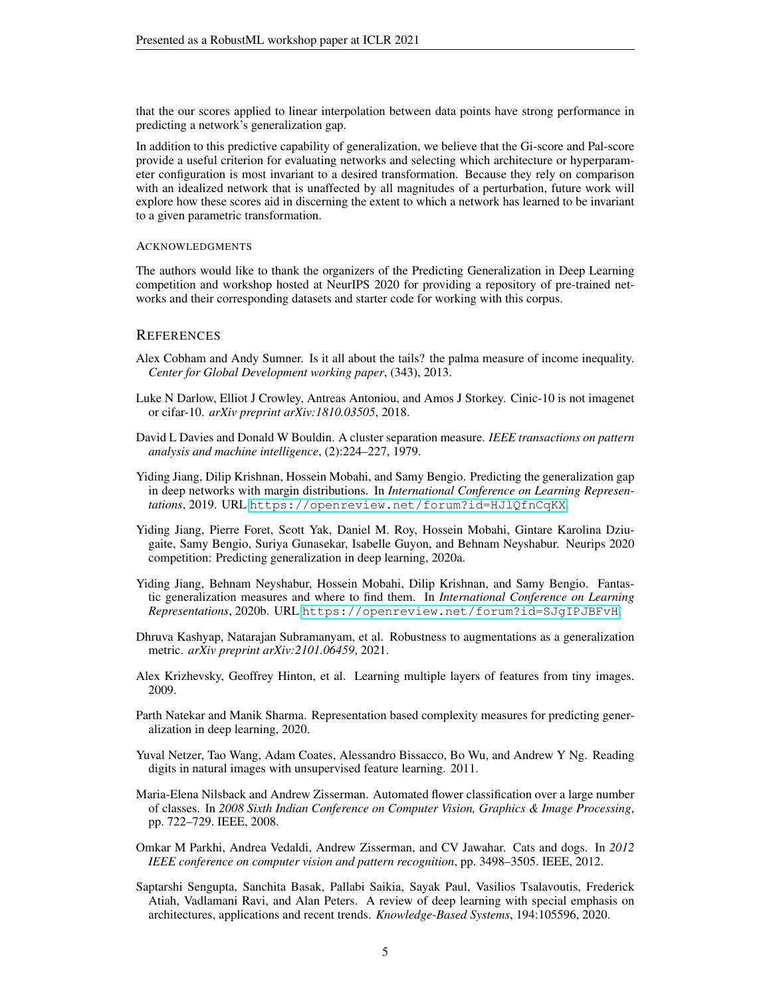that the our scores applied to linear interpolation between data points have strong performance in predicting a network's generalization gap.

In addition to this predictive capability of generalization, we believe that the Gi-score and Pal-score provide a useful criterion for evaluating networks and selecting which architecture or hyperparameter configuration is most invariant to a desired transformation. Because they rely on comparison with an idealized network that is unaffected by all magnitudes of a perturbation, future work will explore how these scores aid in discerning the extent to which a network has learned to be invariant to a given parametric transformation.

#### **ACKNOWLEDGMENTS**

The authors would like to thank the organizers of the Predicting Generalization in Deep Learning competition and workshop hosted at NeurIPS 2020 for providing a repository of pre-trained networks and their corresponding datasets and starter code for working with this corpus.

#### **REFERENCES**

- <span id="page-4-6"></span>Alex Cobham and Andy Sumner. Is it all about the tails? the palma measure of income inequality. *Center for Global Development working paper*, (343), 2013.
- <span id="page-4-9"></span>Luke N Darlow, Elliot J Crowley, Antreas Antoniou, and Amos J Storkey. Cinic-10 is not imagenet or cifar-10. *arXiv preprint arXiv:1810.03505*, 2018.
- <span id="page-4-12"></span>David L Davies and Donald W Bouldin. A cluster separation measure. *IEEE transactions on pattern analysis and machine intelligence*, (2):224–227, 1979.
- <span id="page-4-3"></span>Yiding Jiang, Dilip Krishnan, Hossein Mobahi, and Samy Bengio. Predicting the generalization gap in deep networks with margin distributions. In *International Conference on Learning Representations*, 2019. URL <https://openreview.net/forum?id=HJlQfnCqKX>.
- <span id="page-4-2"></span>Yiding Jiang, Pierre Foret, Scott Yak, Daniel M. Roy, Hossein Mobahi, Gintare Karolina Dziugaite, Samy Bengio, Suriya Gunasekar, Isabelle Guyon, and Behnam Neyshabur. Neurips 2020 competition: Predicting generalization in deep learning, 2020a.
- <span id="page-4-1"></span>Yiding Jiang, Behnam Neyshabur, Hossein Mobahi, Dilip Krishnan, and Samy Bengio. Fantastic generalization measures and where to find them. In *International Conference on Learning Representations*, 2020b. URL <https://openreview.net/forum?id=SJgIPJBFvH>.
- <span id="page-4-5"></span>Dhruva Kashyap, Natarajan Subramanyam, et al. Robustness to augmentations as a generalization metric. *arXiv preprint arXiv:2101.06459*, 2021.
- <span id="page-4-7"></span>Alex Krizhevsky, Geoffrey Hinton, et al. Learning multiple layers of features from tiny images. 2009.
- <span id="page-4-4"></span>Parth Natekar and Manik Sharma. Representation based complexity measures for predicting generalization in deep learning, 2020.
- <span id="page-4-8"></span>Yuval Netzer, Tao Wang, Adam Coates, Alessandro Bissacco, Bo Wu, and Andrew Y Ng. Reading digits in natural images with unsupervised feature learning. 2011.
- <span id="page-4-10"></span>Maria-Elena Nilsback and Andrew Zisserman. Automated flower classification over a large number of classes. In *2008 Sixth Indian Conference on Computer Vision, Graphics & Image Processing*, pp. 722–729. IEEE, 2008.
- <span id="page-4-11"></span>Omkar M Parkhi, Andrea Vedaldi, Andrew Zisserman, and CV Jawahar. Cats and dogs. In *2012 IEEE conference on computer vision and pattern recognition*, pp. 3498–3505. IEEE, 2012.
- <span id="page-4-0"></span>Saptarshi Sengupta, Sanchita Basak, Pallabi Saikia, Sayak Paul, Vasilios Tsalavoutis, Frederick Atiah, Vadlamani Ravi, and Alan Peters. A review of deep learning with special emphasis on architectures, applications and recent trends. *Knowledge-Based Systems*, 194:105596, 2020.